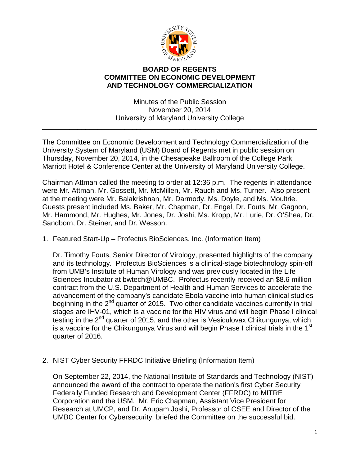

## **BOARD OF REGENTS COMMITTEE ON ECONOMIC DEVELOPMENT AND TECHNOLOGY COMMERCIALIZATION**

Minutes of the Public Session November 20, 2014 University of Maryland University College

\_\_\_\_\_\_\_\_\_\_\_\_\_\_\_\_\_\_\_\_\_\_\_\_\_\_\_\_\_\_\_\_\_\_\_\_\_\_\_\_\_\_\_\_\_\_\_\_\_\_\_\_\_\_\_\_\_\_\_\_\_\_\_\_\_\_\_\_\_\_

The Committee on Economic Development and Technology Commercialization of the University System of Maryland (USM) Board of Regents met in public session on Thursday, November 20, 2014, in the Chesapeake Ballroom of the College Park Marriott Hotel & Conference Center at the University of Maryland University College.

Chairman Attman called the meeting to order at 12:36 p.m. The regents in attendance were Mr. Attman, Mr. Gossett, Mr. McMillen, Mr. Rauch and Ms. Turner. Also present at the meeting were Mr. Balakrishnan, Mr. Darmody, Ms. Doyle, and Ms. Moultrie. Guests present included Ms. Baker, Mr. Chapman, Dr. Engel, Dr. Fouts, Mr. Gagnon, Mr. Hammond, Mr. Hughes, Mr. Jones, Dr. Joshi, Ms. Kropp, Mr. Lurie, Dr. O'Shea, Dr. Sandborn, Dr. Steiner, and Dr. Wesson.

## 1. Featured Start-Up – Profectus BioSciences, Inc. (Information Item)

Dr. Timothy Fouts, Senior Director of Virology, presented highlights of the company and its technology. Profectus BioSciences is a clinical-stage biotechnology spin-off from UMB's Institute of Human Virology and was previously located in the Life Sciences Incubator at bwtech@UMBC. Profectus recently received an \$8.6 million contract from the U.S. Department of Health and Human Services to accelerate the advancement of the company's candidate Ebola vaccine into human clinical studies beginning in the 2<sup>nd</sup> quarter of 2015. Two other candidate vaccines currently in trial stages are IHV-01, which is a vaccine for the HIV virus and will begin Phase I clinical testing in the  $2^{nd}$  quarter of 2015, and the other is Vesiculovax Chikungunya, which is a vaccine for the Chikungunya Virus and will begin Phase I clinical trials in the  $1<sup>st</sup>$ quarter of 2016.

## 2. NIST Cyber Security FFRDC Initiative Briefing (Information Item)

On September 22, 2014, the National Institute of Standards and Technology (NIST) announced the award of the contract to operate the nation's first Cyber Security Federally Funded Research and Development Center (FFRDC) to MITRE Corporation and the USM. Mr. Eric Chapman, Assistant Vice President for Research at UMCP, and Dr. Anupam Joshi, Professor of CSEE and Director of the UMBC Center for Cybersecurity, briefed the Committee on the successful bid.